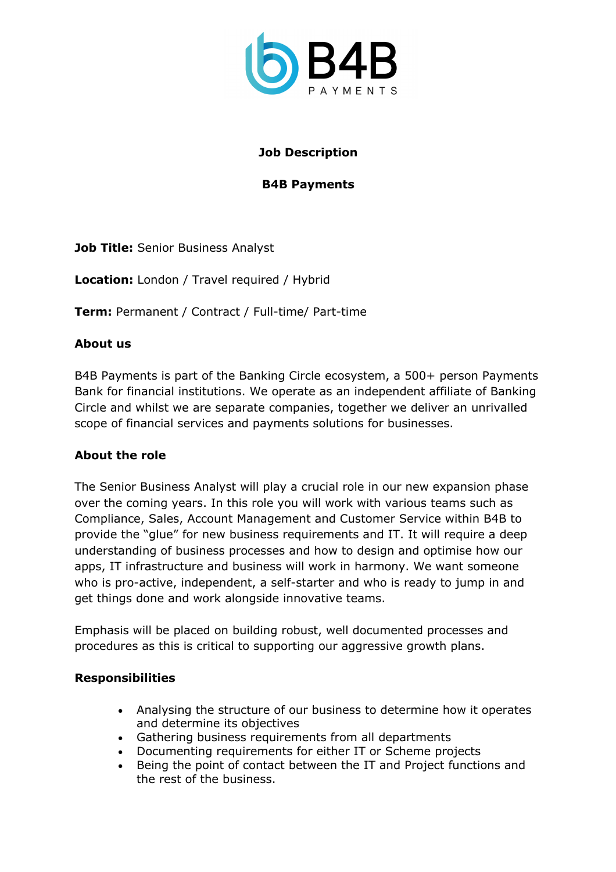

# **Job Description**

## **B4B Payments**

**Job Title: Senior Business Analyst** 

**Location:** London / Travel required / Hybrid

**Term:** Permanent / Contract / Full-time/ Part-time

### **About us**

B4B Payments is part of the Banking Circle ecosystem, a 500+ person Payments Bank for financial institutions. We operate as an independent affiliate of Banking Circle and whilst we are separate companies, together we deliver an unrivalled scope of financial services and payments solutions for businesses.

#### **About the role**

The Senior Business Analyst will play a crucial role in our new expansion phase over the coming years. In this role you will work with various teams such as Compliance, Sales, Account Management and Customer Service within B4B to provide the "glue" for new business requirements and IT. It will require a deep understanding of business processes and how to design and optimise how our apps, IT infrastructure and business will work in harmony. We want someone who is pro-active, independent, a self-starter and who is ready to jump in and get things done and work alongside innovative teams.

Emphasis will be placed on building robust, well documented processes and procedures as this is critical to supporting our aggressive growth plans.

#### **Responsibilities**

- Analysing the structure of our business to determine how it operates and determine its objectives
- Gathering business requirements from all departments
- Documenting requirements for either IT or Scheme projects
- Being the point of contact between the IT and Project functions and the rest of the business.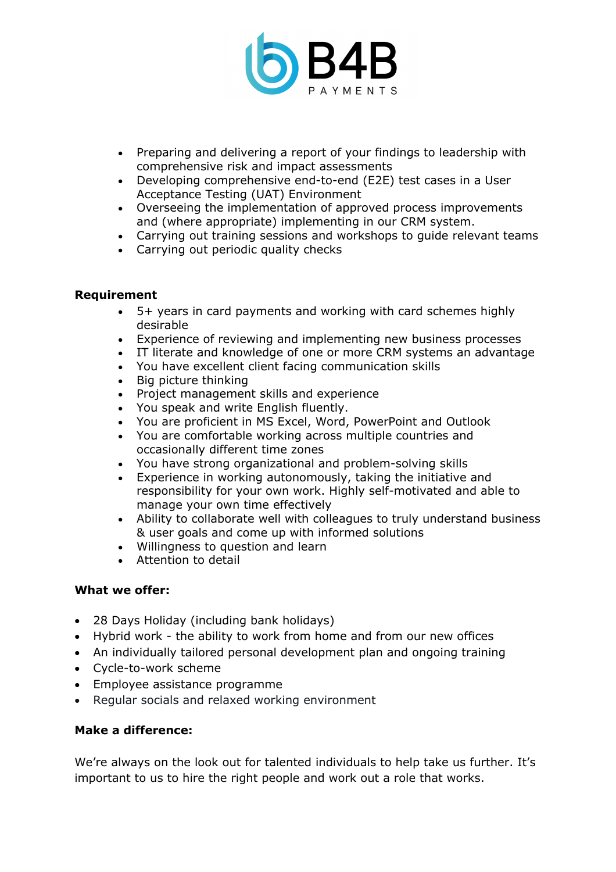

- Preparing and delivering a report of your findings to leadership with comprehensive risk and impact assessments
- Developing comprehensive end-to-end (E2E) test cases in a User Acceptance Testing (UAT) Environment
- Overseeing the implementation of approved process improvements and (where appropriate) implementing in our CRM system.
- Carrying out training sessions and workshops to guide relevant teams
- Carrying out periodic quality checks

### **Requirement**

- 5+ years in card payments and working with card schemes highly desirable
- Experience of reviewing and implementing new business processes
- IT literate and knowledge of one or more CRM systems an advantage
- You have excellent client facing communication skills
- Big picture thinking
- Project management skills and experience
- You speak and write English fluently.
- You are proficient in MS Excel, Word, PowerPoint and Outlook
- You are comfortable working across multiple countries and occasionally different time zones
- You have strong organizational and problem-solving skills
- Experience in working autonomously, taking the initiative and responsibility for your own work. Highly self-motivated and able to manage your own time effectively
- Ability to collaborate well with colleagues to truly understand business & user goals and come up with informed solutions
- Willingness to question and learn
- Attention to detail

#### **What we offer:**

- 28 Days Holiday (including bank holidays)
- Hybrid work the ability to work from home and from our new offices
- An individually tailored personal development plan and ongoing training
- Cycle-to-work scheme
- Employee assistance programme
- Regular socials and relaxed working environment

## **Make a difference:**

We're always on the look out for talented individuals to help take us further. It's important to us to hire the right people and work out a role that works.